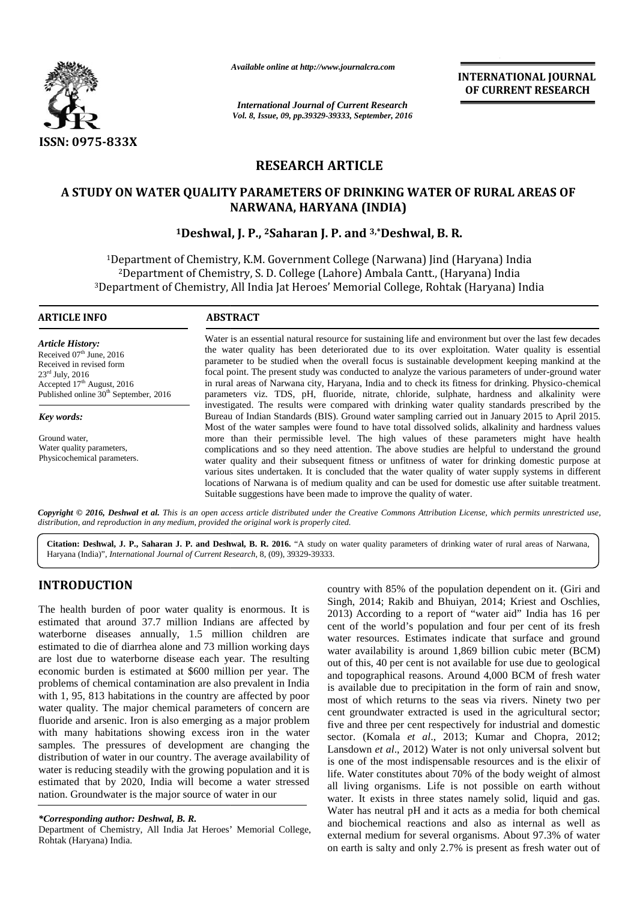

*Available online at http://www.journalcra.com*

*International Journal of Current Research Vol. 8, Issue, 09, pp.39329-39333, September, 2016* **INTERNATIONAL JOURNAL OF CURRENT RESEARCH**

# **RESEARCH ARTICLE**

# A STUDY ON WATER QUALITY PARAMETERS OF DRINKING WATER OF RURAL AREAS OF<br>NARWANA, HARYANA (INDIA)<br><sup>1</sup>Deshwal, J. P., <sup>2</sup>Saharan J. P. and <sup>3,\*</sup>Deshwal, B. R. **NARWANA, HARYANA (INDIA)**

# **<sup>1</sup>Deshwal, J. P., <sup>2</sup>Saharan J. P. and 3,\*Deshwal, B. R.**

<sup>1</sup>Department of Chemistry, K.M. Government College (Narwana) Jind (Haryana) India <sup>2</sup>Department of Chemistry, S. D. College (Lahore) Ambala Cantt., (Haryana) India <sup>1</sup>Department of Chemistry, K.M. Government College (Narwana) Jind (Haryana) India<br><sup>2</sup>Department of Chemistry, S. D. College (Lahore) Ambala Cantt., (Haryana) India<br><sup>3</sup>Department of Chemistry, All India Jat Heroes' Memoria

#### **ARTICLE INFO ABSTRACT ARTICLE INFO**

*Article History:* Received 07<sup>th</sup> June, 2016<br>Received in revised form Received in revised form  $23<sup>rd</sup>$  July,  $2016$  $23$ <sup>--</sup> July, 2016<br>Accepted 17<sup>th</sup> August, 2016 Published online  $30<sup>th</sup>$  September, 2016

*Key words: Key words:*

Ground water, Water quality parameters, Physicochemical parameters. Ground water,<br>Water quality par<br>Physicochemical

Water is an essential natural resource for sustaining life and environment but over the last few decades the water quality has been deteriorated due to its over exploitation. Water quality is essential parameter to be studied when the overall focus is sustainable development keeping mankind at the focal point. The present study was conducted to analyze the various parameters of under-ground water in rural areas of Narwana city, Haryana, India and to check its fitness for drinking. Physico-chemical parameters viz. TDS, pH, fluoride, nitrate, chloride, sulphate, hardness and alkalinity were investigated. The results were compared with drinking water quality standards prescribed by the Bureau of Indian Standards (BIS). Ground water sampling carried out in January 2015 to April 2015. Most of the water samples were found to have total dissolved solids, alkalinity and hardness values more than their permissible level. The high values of these parameters might have health complications and so they need attention. The above studies are helpful to understand the ground water quality and their subsequent fitness or unfitness of water for drinking domestic purpose at various sites undertaken. It is concluded that the water quality of water supply systems in different locations of Narwana is of medium quality and can be used for domestic use after suitable treatment. Suitable suggestions have been made to improve the quality of water. Water is an essential natural resource for sustaining life and environment but over the last few decades<br>the water quality has been deteriorated due to its over exploitation. Water quality is essential<br>parameter to be stud complications and so they need attention. The above studies are helpful to understand the ground water quality and their subsequent fitness or unfitness of water for drinking domestic purpose at various sites undertaken. I **IMARWANA, HARYANA (INDIA)**<br> **IDESINVAII, B. P., and 3. TDESINVAII, B. R.**<br> **IDESINVAII, F., 25 and 3. TDESINVAII, B. R.**<br> **EXECUTE ANT COVERTMENT COLLEGE (NATWAINA) III. (HATYANIA)** III. (HaTYANIA) III. (III. of Chemistry

Copyright © 2016, Deshwal et al. This is an open access article distributed under the Creative Commons Attribution License, which permits unrestricted use, *distribution, and reproduction in any medium, provided the original work is properly cited. distribution,* 

**Citation: Deshwal, J. P., Saharan J. P. and Deshwal, B. R. 2016.** "A study on water quality parameters of drinking water of rural areas of Narwana, **Deshwal, J. P.,** Haryana (India)", *International Journal of Current Research*, 8, (09), 39329-39333.

# **INTRODUCTION**

The health burden of poor water quality is enormous. It is estimated that around 37.7 million Indians are affected by waterborne diseases annually,  $1.5$  million children are  $\frac{1}{\text{wati}}$ estimated to die of diarrhea alone and 73 million working days are lost due to waterborne disease each year. The resulting economic burden is estimated at \$600 million per year. The problems of chemical contamination are also prevalent in India with 1, 95, 813 habitations in the country are affected by poor water quality. The major chemical parameters of concern are fluoride and arsenic. Iron is also emerging as a major problem with many habitations showing excess iron in the water samples. The pressures of development are changing the distribution of water in our country. The average availability of water is reducing steadily with the growing population and it is estimated that by 2020, India will become a water stressed nation. Groundwater is the major source of water in our The health burden of poor water quality is enormous. It is estimated that around 37.7 million Indians are affected by waterborne diseases annually, 1.5 million children are estimated to die of diarrhea alone and 73 million province 37.7 million Indians are affected by<br>eases annually, 1.5 million children are<br>of diarrhea alone and 73 million working days

Department of Chemistry, All India Jat Heroes' Memorial College, Rohtak (Haryana) India.

country with 85% of the population dependent on it. (Giri and Singh, 2014; Rakib and Bhuiyan, 2014; Kriest and Oschlies, 2013) According to a report of "water aid" India has 16 per cent of the world's population and four per cent of its fresh water resources. Estimates indicate that surface and ground water availability is around 1,869 billion cubic meter (BCM) out of this, 40 per cent is not available for use due to geological and topographical reasons. Around 4,000 BCM of fresh water is available due to precipitation in the form of rain and snow, most of which returns to the seas via rivers. Ninety two per cent groundwater extracted is used in the agricultural sector; water resources. Estimates indicate that surface and ground water availability is around 1,869 billion cubic meter (BCM) out of this, 40 per cent is not available for use due to geological and topographical reasons. Around sector. (Komala *et al.*, 2013; Kumar and Chopra, 2012; Lansdown *et al*., 2012) Water is not only universal solvent but is one of the most indispensable resources and is the elixir of life. Water constitutes about 70% of the body weight of almost all living organisms. Life is not possible on earth without water. It exists in three states namely solid, liquid and gas. Water has neutral pH and it acts as a media for both chemical  $\mu$ ,  $\mu$ ,  $\mu$ ,  $\mu$ ,  $\mu$ ,  $\mu$ ,  $\mu$ ,  $\mu$  and biochemical reactions and also as internal as well as All India Jat Heroes' Memorial College, and biochemical reactions and also as internal as well as external medium for several organisms. About 97.3% of water on earth is salty and only 2.7% is present as fresh water out of Lansdown *et al.*, 2012) Water is not only universal solvent but<br>is one of the most indispensable resources and is the elixir of<br>life. Water constitutes about 70% of the body weight of almost<br>all living organisms. Life is Assume that at the state of the state of the state of the state of the state of the state of the state of the state of the state of the state of the state of the state of the state of the state of the state of the state o

*<sup>\*</sup>Corresponding author: Deshwal, B. R.*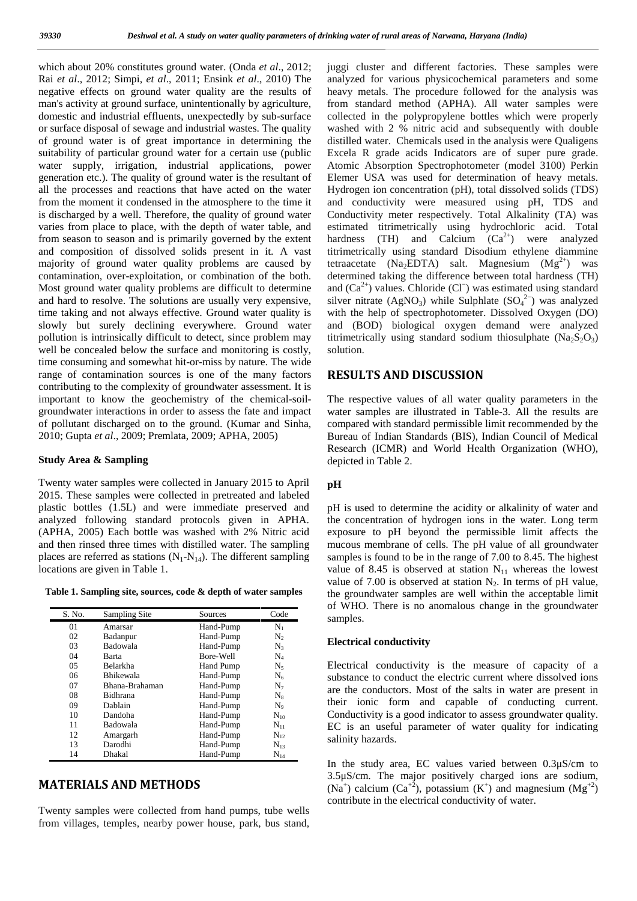which about 20% constitutes ground water. (Onda *et al*., 2012; Rai *et al*., 2012; Simpi, *et al*., 2011; Ensink *et al*., 2010) The negative effects on ground water quality are the results of man's activity at ground surface, unintentionally by agriculture, domestic and industrial effluents, unexpectedly by sub-surface or surface disposal of sewage and industrial wastes. The quality of ground water is of great importance in determining the suitability of particular ground water for a certain use (public water supply, irrigation, industrial applications, power generation etc.). The quality of ground water is the resultant of all the processes and reactions that have acted on the water from the moment it condensed in the atmosphere to the time it is discharged by a well. Therefore, the quality of ground water varies from place to place, with the depth of water table, and from season to season and is primarily governed by the extent and composition of dissolved solids present in it. A vast majority of ground water quality problems are caused by contamination, over-exploitation, or combination of the both. Most ground water quality problems are difficult to determine and hard to resolve. The solutions are usually very expensive, time taking and not always effective. Ground water quality is slowly but surely declining everywhere. Ground water pollution is intrinsically difficult to detect, since problem may well be concealed below the surface and monitoring is costly, time consuming and somewhat hit-or-miss by nature. The wide range of contamination sources is one of the many factors contributing to the complexity of groundwater assessment. It is important to know the geochemistry of the chemical-soil groundwater interactions in order to assess the fate and impact of pollutant discharged on to the ground. (Kumar and Sinha, 2010; Gupta *et al*., 2009; Premlata, 2009; APHA, 2005)

#### **Study Area & Sampling**

Twenty water samples were collected in January 2015 to April 2015. These samples were collected in pretreated and labeled plastic bottles (1.5L) and were immediate preserved and analyzed following standard protocols given in APHA. (APHA, 2005) Each bottle was washed with 2% Nitric acid and then rinsed three times with distilled water. The sampling places are referred as stations  $(N_1-N_{14})$ . The different sampling locations are given in Table 1.

**Table 1. Sampling site, sources, code & depth of water samples**

| S. No. | Sampling Site    | Sources   | Code           |
|--------|------------------|-----------|----------------|
| 01     | Amarsar          | Hand-Pump | $N_1$          |
| 02     | Badanpur         | Hand-Pump | N <sub>2</sub> |
| 03     | <b>Badowala</b>  | Hand-Pump | $N_{3}$        |
| 04     | Barta            | Bore-Well | $\rm N_{4}$    |
| 05     | <b>Belarkha</b>  | Hand Pump | $N_5$          |
| 06     | <b>Bhikewala</b> | Hand-Pump | $N_6$          |
| 07     | Bhana-Brahaman   | Hand-Pump | $N_7$          |
| 08     | Bidhrana         | Hand-Pump | $N_8$          |
| 09     | Dablain          | Hand-Pump | $N_9$          |
| 10     | Dandoha          | Hand-Pump | $N_{10}$       |
| 11     | Badowala         | Hand-Pump | $N_{11}$       |
| 12     | Amargarh         | Hand-Pump | $N_{12}$       |
| 13     | Darodhi          | Hand-Pump | $N_{13}$       |
| 14     | Dhakal           | Hand-Pump | $N_{14}$       |

# **MATERIALS AND METHODS**

Twenty samples were collected from hand pumps, tube wells from villages, temples, nearby power house, park, bus stand,

juggi cluster and different factories. These samples were analyzed for various physicochemical parameters and some heavy metals. The procedure followed for the analysis was from standard method (APHA). All water samples were collected in the polypropylene bottles which were properly washed with 2 % nitric acid and subsequently with double distilled water. Chemicals used in the analysis were Qualigens Excela R grade acids Indicators are of super pure grade. Atomic Absorption Spectrophotometer (model 3100) Perkin Elemer USA was used for determination of heavy metals. Hydrogen ion concentration (pH), total dissolved solids (TDS) and conductivity were measured using pH, TDS and Conductivity meter respectively. Total Alkalinity (TA) was estimated titrimetrically using hydrochloric acid. Total hardness (TH) and Calcium  $(Ca^{2+})$  were analyzed titrimetrically using standard Disodium ethylene diammine tetraacetate (Na<sub>2</sub>EDTA) salt. Magnesium (Mg<sup>2+</sup>) was determined taking the difference between total hardness (TH) and  $(Ca^{2+})$  values. Chloride  $(CI^-)$  was estimated using standard silver nitrate (AgNO<sub>3</sub>) while Sulphlate  $(SO<sub>4</sub><sup>2–</sup>)$  was analyzed with the help of spectrophotometer. Dissolved Oxygen (DO) and (BOD) biological oxygen demand were analyzed titrimetrically using standard sodium thiosulphate  $(Na_2S_2O_3)$ solution.

#### **RESULTS AND DISCUSSION**

The respective values of all water quality parameters in the water samples are illustrated in Table-3. All the results are compared with standard permissible limit recommended by the Bureau of Indian Standards (BIS), Indian Council of Medical Research (ICMR) and World Health Organization (WHO), depicted in Table 2.

### **pH**

pH is used to determine the acidity or alkalinity of water and the concentration of hydrogen ions in the water. Long term exposure to pH beyond the permissible limit affects the mucous membrane of cells. The pH value of all groundwater samples is found to be in the range of 7.00 to 8.45. The highest value of 8.45 is observed at station  $N_{11}$  whereas the lowest value of 7.00 is observed at station  $N_2$ . In terms of pH value, the groundwater samples are well within the acceptable limit of WHO. There is no anomalous change in the groundwater samples.

#### **Electrical conductivity**

Electrical conductivity is the measure of capacity of a substance to conduct the electric current where dissolved ions are the conductors. Most of the salts in water are present in their ionic form and capable of conducting current. Conductivity is a good indicator to assess groundwater quality. EC is an useful parameter of water quality for indicating salinity hazards.

In the study area, EC values varied between 0.3μS/cm to 3.5μS/cm. The major positively charged ions are sodium,  $(Na^+)$  calcium  $(Ca^{+2})$ , potassium  $(K^+)$  and magnesium  $(Mg^{+2})$ contribute in the electrical conductivity of water.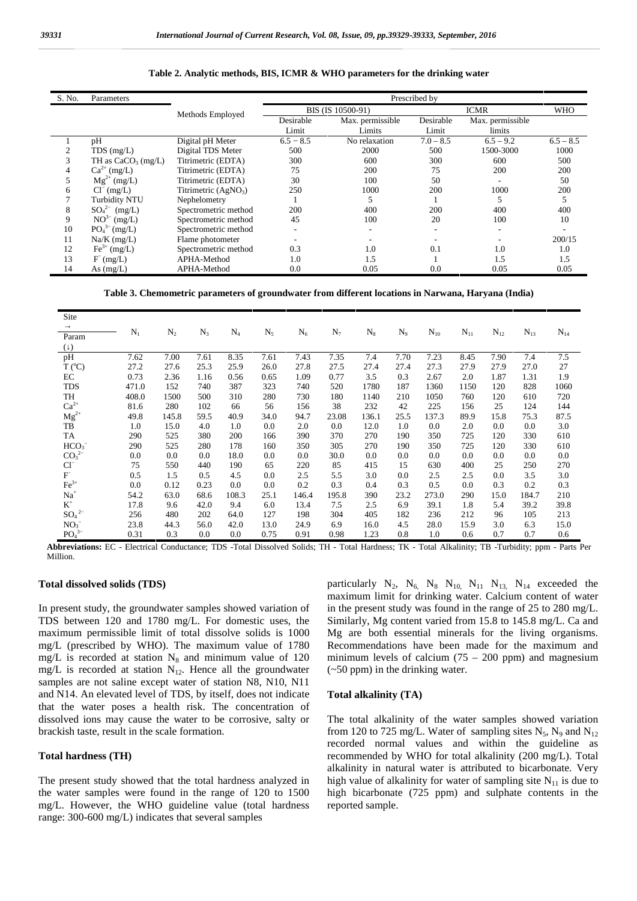| S. No. | Parameters              |                        |                   | Prescribed by    |             |                          |             |  |  |  |  |
|--------|-------------------------|------------------------|-------------------|------------------|-------------|--------------------------|-------------|--|--|--|--|
|        |                         | Methods Employed       | BIS (IS 10500-91) |                  |             | <b>WHO</b>               |             |  |  |  |  |
|        |                         |                        | Desirable         | Max. permissible | Desirable   | Max. permissible         |             |  |  |  |  |
|        |                         |                        | Limit             | Limits           | Limit       | limits                   |             |  |  |  |  |
|        | pH                      | Digital pH Meter       | $6.5 - 8.5$       | No relaxation    | $7.0 - 8.5$ | $6.5 - 9.2$              | $6.5 - 8.5$ |  |  |  |  |
|        | $TDS$ (mg/L)            | Digital TDS Meter      | 500               | 2000             | 500         | 1500-3000                | 1000        |  |  |  |  |
|        | TH as $CaCO3$ (mg/L)    | Titrimetric (EDTA)     | 300               | 600              | 300         | 600                      | 500         |  |  |  |  |
|        | $Ca^{2+}$ (mg/L)        | Titrimetric (EDTA)     | 75                | 200              | 75          | 200                      | 200         |  |  |  |  |
|        | $Mg^{2+} (mg/L)$        | Titrimetric (EDTA)     | 30                | 100              | 50          | $\overline{\phantom{a}}$ | 50          |  |  |  |  |
| 6      | $Cl^{-}$ (mg/L)         | Titrimetric $(AgNO_3)$ | 250               | 1000             | 200         | 1000                     | 200         |  |  |  |  |
|        | <b>Turbidity NTU</b>    | Nephelometry           |                   |                  |             |                          |             |  |  |  |  |
| 8      | $SO_4^2$ (mg/L)         | Spectrometric method   | 200               | 400              | 200         | 400                      | 400         |  |  |  |  |
| 9      | $NO^{3-}$ (mg/L)        | Spectrometric method   | 45                | 100              | 20          | 100                      | 10          |  |  |  |  |
| 10     | $PO_4^{3-} (mg/L)$      | Spectrometric method   |                   |                  |             |                          |             |  |  |  |  |
| 11     | $Na/K$ (mg/L)           | Flame photometer       |                   |                  |             |                          | 200/15      |  |  |  |  |
| 12     | $\text{Fe}^{3+}$ (mg/L) | Spectrometric method   | 0.3               | 1.0              | 0.1         | 1.0                      | 1.0         |  |  |  |  |
| 13     | F (mg/L)                | APHA-Method            | 1.0               | 1.5              |             | 1.5                      | 1.5         |  |  |  |  |
| 14     | As $(mg/L)$             | APHA-Method            | 0.0               | 0.05             | 0.0         | 0.05                     | 0.05        |  |  |  |  |

**Table 2. Analytic methods, BIS, ICMR & WHO parameters for the drinking water**

**Table 3. Chemometric parameters of groundwater from different locations in Narwana, Haryana (India)**

| Site                         |       |       |       |       |         |       |       |       |       |          |          |          |          |          |
|------------------------------|-------|-------|-------|-------|---------|-------|-------|-------|-------|----------|----------|----------|----------|----------|
| Param                        | $N_1$ | $N_2$ | $N_3$ | $N_4$ | $N_5$   | $N_6$ | $N_7$ | $N_8$ | $N_9$ | $N_{10}$ | $N_{11}$ | $N_{12}$ | $N_{13}$ | $N_{14}$ |
| ( )                          |       |       |       |       |         |       |       |       |       |          |          |          |          |          |
| pH                           | 7.62  | 7.00  | 7.61  | 8.35  | 7.61    | 7.43  | 7.35  | 7.4   | 7.70  | 7.23     | 8.45     | 7.90     | 7.4      | 7.5      |
| $T (^{\circ}C)$              | 27.2  | 27.6  | 25.3  | 25.9  | 26.0    | 27.8  | 27.5  | 27.4  | 27.4  | 27.3     | 27.9     | 27.9     | 27.0     | 27       |
| EC                           | 0.73  | 2.36  | 1.16  | 0.56  | 0.65    | 1.09  | 0.77  | 3.5   | 0.3   | 2.67     | 2.0      | 1.87     | 1.31     | 1.9      |
| <b>TDS</b>                   | 471.0 | 152   | 740   | 387   | 323     | 740   | 520   | 1780  | 187   | 1360     | 1150     | 120      | 828      | 1060     |
| TH                           | 408.0 | 1500  | 500   | 310   | 280     | 730   | 180   | 1140  | 210   | 1050     | 760      | 120      | 610      | 720      |
| $Ca^{2+}$                    | 81.6  | 280   | 102   | 66    | 56      | 156   | 38    | 232   | 42    | 225      | 156      | 25       | 124      | 144      |
| $\rm Mg^{2+}$                | 49.8  | 145.8 | 59.5  | 40.9  | 34.0    | 94.7  | 23.08 | 136.1 | 25.5  | 137.3    | 89.9     | 15.8     | 75.3     | 87.5     |
| TB                           | 1.0   | 15.0  | 4.0   | 1.0   | $0.0\,$ | 2.0   | 0.0   | 12.0  | 1.0   | 0.0      | 2.0      | 0.0      | 0.0      | 3.0      |
| TA                           | 290   | 525   | 380   | 200   | 166     | 390   | 370   | 270   | 190   | 350      | 725      | 120      | 330      | 610      |
| HCO <sub>3</sub>             | 290   | 525   | 280   | 178   | 160     | 350   | 305   | 270   | 190   | 350      | 725      | 120      | 330      | 610      |
| $CO_3^2$                     | 0.0   | 0.0   | 0.0   | 18.0  | $0.0\,$ | 0.0   | 30.0  | 0.0   | 0.0   | 0.0      | 0.0      | 0.0      | 0.0      | 0.0      |
| $Cl^{-}$                     | 75    | 550   | 440   | 190   | 65      | 220   | 85    | 415   | 15    | 630      | 400      | 25       | 250      | 270      |
| $\mathbf{F}^-$               | 0.5   | 1.5   | 0.5   | 4.5   | $0.0\,$ | 2.5   | 5.5   | 3.0   | 0.0   | 2.5      | 2.5      | 0.0      | 3.5      | 3.0      |
| $Fe3+$                       | 0.0   | 0.12  | 0.23  | 0.0   | $0.0\,$ | 0.2   | 0.3   | 0.4   | 0.3   | 0.5      | 0.0      | 0.3      | 0.2      | 0.3      |
| $Na+$                        | 54.2  | 63.0  | 68.6  | 108.3 | 25.1    | 146.4 | 195.8 | 390   | 23.2  | 273.0    | 290      | 15.0     | 184.7    | 210      |
| $\rm K^+$                    | 17.8  | 9.6   | 42.0  | 9.4   | 6.0     | 13.4  | 7.5   | 2.5   | 6.9   | 39.1     | 1.8      | 5.4      | 39.2     | 39.8     |
| $SO4$ <sup>2-</sup>          | 256   | 480   | 202   | 64.0  | 127     | 198   | 304   | 405   | 182   | 236      | 212      | 96       | 105      | 213      |
| NO <sub>3</sub>              | 23.8  | 44.3  | 56.0  | 42.0  | 13.0    | 24.9  | 6.9   | 16.0  | 4.5   | 28.0     | 15.9     | 3.0      | 6.3      | 15.0     |
| PO <sub>4</sub> <sup>3</sup> | 0.31  | 0.3   | 0.0   | 0.0   | 0.75    | 0.91  | 0.98  | 1.23  | 0.8   | 1.0      | 0.6      | 0.7      | 0.7      | 0.6      |

**Abbreviations:** EC - Electrical Conductance; TDS -Total Dissolved Solids; TH - Total Hardness; TK - Total Alkalinity; TB -Turbidity; ppm - Parts Per Million.

#### **Total dissolved solids (TDS)**

In present study, the groundwater samples showed variation of TDS between 120 and 1780 mg/L. For domestic uses, the maximum permissible limit of total dissolve solids is 1000 mg/L (prescribed by WHO). The maximum value of 1780 mg/L is recorded at station  $N_8$  and minimum value of 120 mg/L is recorded at station  $N_{12}$ . Hence all the groundwater samples are not saline except water of station N8, N10, N11 and N14. An elevated level of TDS, by itself, does not indicate that the water poses a health risk. The concentration of dissolved ions may cause the water to be corrosive, salty or brackish taste, result in the scale formation.

#### **Total hardness (TH)**

The present study showed that the total hardness analyzed in the water samples were found in the range of 120 to 1500 mg/L. However, the WHO guideline value (total hardness range: 300-600 mg/L) indicates that several samples

particularly  $N_2$ ,  $N_6$ ,  $N_8$   $N_{10}$ ,  $N_{11}$   $N_{13}$ ,  $N_{14}$  exceeded the maximum limit for drinking water. Calcium content of water in the present study was found in the range of 25 to 280 mg/L. Similarly, Mg content varied from 15.8 to 145.8 mg/L. Ca and Mg are both essential minerals for the living organisms. Recommendations have been made for the maximum and minimum levels of calcium  $(75 - 200)$  ppm) and magnesium (~50 ppm) in the drinking water.

#### **Total alkalinity (TA)**

The total alkalinity of the water samples showed variation from 120 to 725 mg/L. Water of sampling sites  $N_5$ ,  $N_9$  and  $N_{12}$ recorded normal values and within the guideline as recommended by WHO for total alkalinity (200 mg/L). Total alkalinity in natural water is attributed to bicarbonate. Very high value of alkalinity for water of sampling site  $N_{11}$  is due to high bicarbonate (725 ppm) and sulphate contents in the reported sample.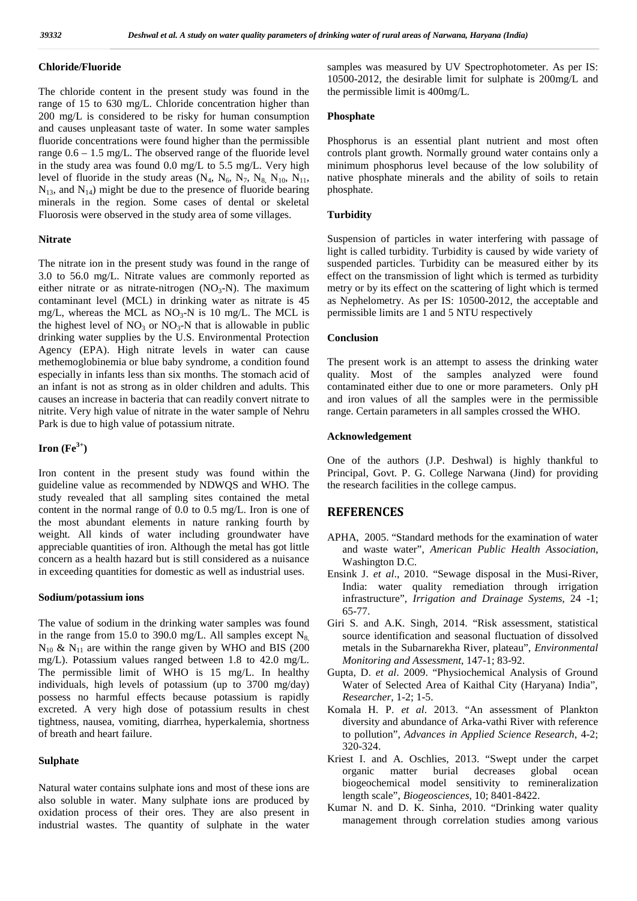#### **Chloride/Fluoride**

The chloride content in the present study was found in the range of 15 to 630 mg/L. Chloride concentration higher than 200 mg/L is considered to be risky for human consumption and causes unpleasant taste of water. In some water samples fluoride concentrations were found higher than the permissible range 0.6 – 1.5 mg/L. The observed range of the fluoride level in the study area was found 0.0 mg/L to 5.5 mg/L. Very high level of fluoride in the study areas  $(N_4, N_6, N_7, N_8, N_{10}, N_{11},$  $N_{13}$ , and  $N_{14}$ ) might be due to the presence of fluoride bearing minerals in the region. Some cases of dental or skeletal Fluorosis were observed in the study area of some villages.

#### **Nitrate**

The nitrate ion in the present study was found in the range of 3.0 to 56.0 mg/L. Nitrate values are commonly reported as either nitrate or as nitrate-nitrogen  $(NO_3-N)$ . The maximum contaminant level (MCL) in drinking water as nitrate is 45 mg/L, whereas the MCL as  $NO_3-N$  is 10 mg/L. The MCL is the highest level of  $NO_3$  or  $NO_3-N$  that is allowable in public drinking water supplies by the U.S. Environmental Protection Agency (EPA). High nitrate levels in water can cause methemoglobinemia or blue baby syndrome, a condition found especially in infants less than six months. The stomach acid of an infant is not as strong as in older children and adults. This causes an increase in bacteria that can readily convert nitrate to nitrite. Very high value of nitrate in the water sample of Nehru Park is due to high value of potassium nitrate.

## **Iron (Fe 3+)**

Iron content in the present study was found within the guideline value as recommended by NDWQS and WHO. The study revealed that all sampling sites contained the metal content in the normal range of 0.0 to 0.5 mg/L. Iron is one of the most abundant elements in nature ranking fourth by weight. All kinds of water including groundwater have appreciable quantities of iron. Although the metal has got little concern as a health hazard but is still considered as a nuisance in exceeding quantities for domestic as well as industrial uses.

#### **Sodium/potassium ions**

The value of sodium in the drinking water samples was found in the range from 15.0 to 390.0 mg/L. All samples except  $N_{8}$ ,  $N_{10}$  &  $N_{11}$  are within the range given by WHO and BIS (200) mg/L). Potassium values ranged between 1.8 to 42.0 mg/L. The permissible limit of WHO is 15 mg/L. In healthy individuals, high levels of potassium (up to 3700 mg/day) possess no harmful effects because potassium is rapidly excreted. A very high dose of potassium results in chest tightness, nausea, vomiting, diarrhea, hyperkalemia, shortness of breath and heart failure.

#### **Sulphate**

Natural water contains sulphate ions and most of these ions are also soluble in water. Many sulphate ions are produced by oxidation process of their ores. They are also present in industrial wastes. The quantity of sulphate in the water samples was measured by UV Spectrophotometer. As per IS: 10500-2012, the desirable limit for sulphate is 200mg/L and the permissible limit is 400mg/L.

### **Phosphate**

Phosphorus is an essential plant nutrient and most often controls plant growth. Normally ground water contains only a minimum phosphorus level because of the low solubility of native phosphate minerals and the ability of soils to retain phosphate.

#### **Turbidity**

Suspension of particles in water interfering with passage of light is called turbidity. Turbidity is caused by wide variety of suspended particles. Turbidity can be measured either by its effect on the transmission of light which is termed as turbidity metry or by its effect on the scattering of light which is termed as Nephelometry. As per IS: 10500-2012, the acceptable and permissible limits are 1 and 5 NTU respectively

#### **Conclusion**

The present work is an attempt to assess the drinking water quality. Most of the samples analyzed were found contaminated either due to one or more parameters. Only pH and iron values of all the samples were in the permissible range. Certain parameters in all samples crossed the WHO.

#### **Acknowledgement**

One of the authors (J.P. Deshwal) is highly thankful to Principal, Govt. P. G. College Narwana (Jind) for providing the research facilities in the college campus.

# **REFERENCES**

- APHA, 2005. "Standard methods for the examination of water and waste water", *American Public Health Association*, Washington D.C.
- Ensink J. *et al*., 2010. "Sewage disposal in the Musi-River, India: water quality remediation through irrigation infrastructure", *Irrigation and Drainage Systems*, 24 -1; 65-77.
- Giri S. and A.K. Singh, 2014. "Risk assessment, statistical source identification and seasonal fluctuation of dissolved metals in the Subarnarekha River, plateau", *Environmental Monitoring and Assessment*, 147-1; 83-92.
- Gupta, D. *et al*. 2009. "Physiochemical Analysis of Ground Water of Selected Area of Kaithal City (Haryana) India", *Researcher*, 1-2; 1-5.
- Komala H. P. *et al*. 2013. "An assessment of Plankton diversity and abundance of Arka-vathi River with reference to pollution", *Advances in Applied Science Research*, 4-2; 320-324.
- Kriest I. and A. Oschlies, 2013. "Swept under the carpet organic matter burial decreases global ocean biogeochemical model sensitivity to remineralization length scale", *Biogeosciences*, 10; 8401-8422.
- Kumar N. and D. K. Sinha, 2010. "Drinking water quality management through correlation studies among various